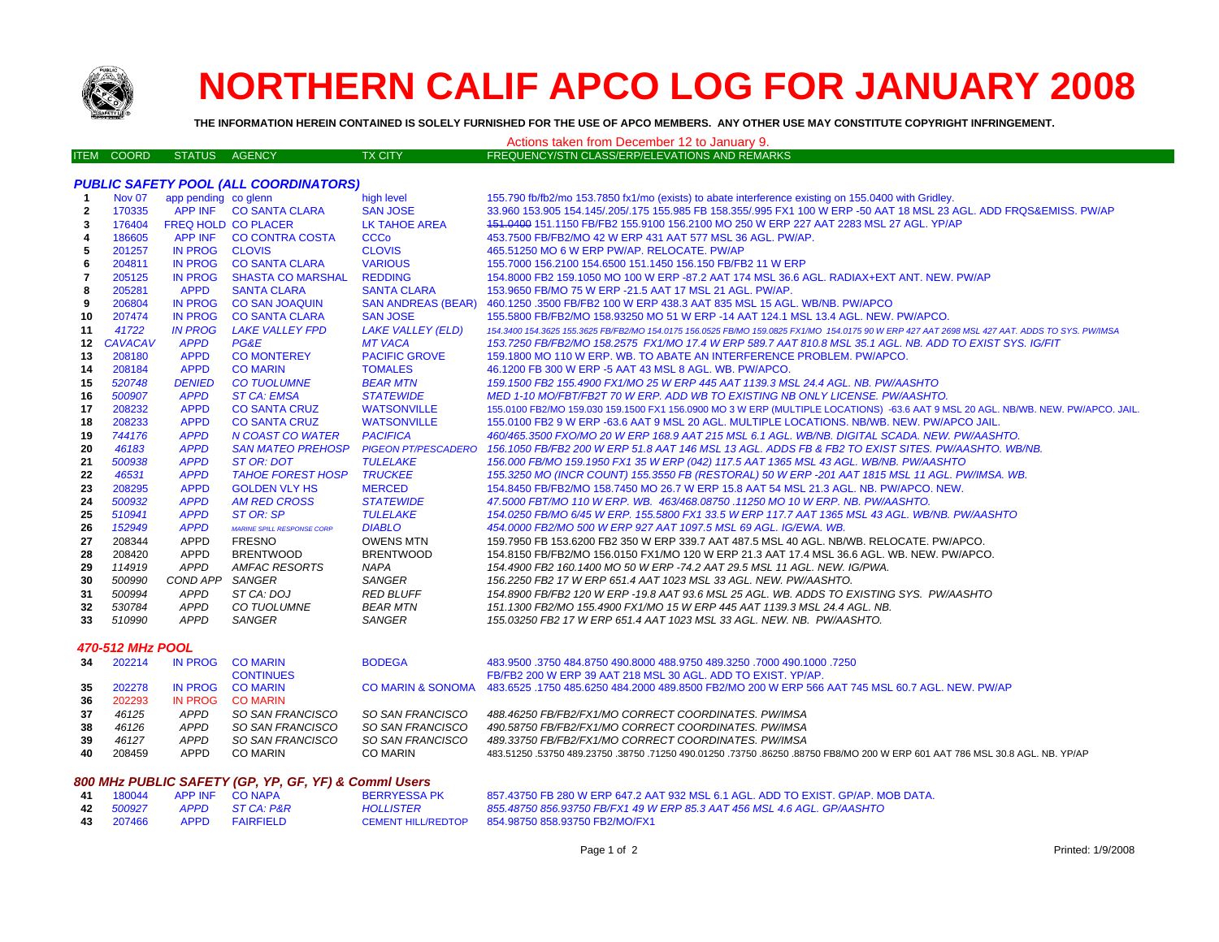

## **NORTHERN CALIF APCO LOG FOR JANUARY 2008**

**THE INFORMATION HEREIN CONTAINED IS SOLELY FURNISHED FOR THE USE OF APCO MEMBERS. ANY OTHER USE MAY CONSTITUTE COPYRIGHT INFRINGEMENT.**

## ITEM COORD STATUS AGENCY TX CITY FREQUENCY/STN CLASS/ERP/ELEVATIONS AND REMARKS Actions taken from December 12 to January 9.

## *PUBLIC SAFETY POOL (ALL COORDINATORS)*

| -1             | <b>Nov 07</b>           | app pending co glenn |                                   | high level                 | 155.790 fb/fb2/mo 153.7850 fx1/mo (exists) to abate interference existing on 155.0400 with Gridley.                                           |
|----------------|-------------------------|----------------------|-----------------------------------|----------------------------|-----------------------------------------------------------------------------------------------------------------------------------------------|
| $\overline{2}$ | 170335                  |                      | APP INF CO SANTA CLARA            | <b>SAN JOSE</b>            | 33.960 153.905 154.145/.205/.175 155.985 FB 158.355/.995 FX1 100 W ERP -50 AAT 18 MSL 23 AGL. ADD FRQS&EMISS, PW/AP                           |
| 3              | 176404                  | FREQ HOLD CO PLACER  |                                   | <b>LK TAHOE AREA</b>       | 151.0400 151.1150 FB/FB2 155.9100 156.2100 MO 250 W ERP 227 AAT 2283 MSL 27 AGL. YP/AP                                                        |
| 4              | 186605                  | APP INF              | <b>CO CONTRA COSTA</b>            | <b>CCCo</b>                | 453.7500 FB/FB2/MO 42 W ERP 431 AAT 577 MSL 36 AGL, PW/AP.                                                                                    |
| 5              | 201257                  | <b>IN PROG</b>       | <b>CLOVIS</b>                     | <b>CLOVIS</b>              | 465.51250 MO 6 W ERP PW/AP. RELOCATE. PW/AP                                                                                                   |
| 6              | 204811                  | <b>IN PROG</b>       | <b>CO SANTA CLARA</b>             | <b>VARIOUS</b>             | 155,7000 156,2100 154,6500 151,1450 156,150 FB/FB2 11 W ERP                                                                                   |
| 7              | 205125                  | <b>IN PROG</b>       | <b>SHASTA CO MARSHAL</b>          | <b>REDDING</b>             | 154.8000 FB2 159.1050 MO 100 W ERP -87.2 AAT 174 MSL 36.6 AGL. RADIAX+EXT ANT. NEW. PW/AP                                                     |
| 8              | 205281                  | <b>APPD</b>          | <b>SANTA CLARA</b>                | <b>SANTA CLARA</b>         | 153.9650 FB/MO 75 W ERP -21.5 AAT 17 MSL 21 AGL, PW/AP.                                                                                       |
| 9              | 206804                  | <b>IN PROG</b>       | <b>CO SAN JOAQUIN</b>             | <b>SAN ANDREAS (BEAR)</b>  | 460.1250 .3500 FB/FB2 100 W ERP 438.3 AAT 835 MSL 15 AGL. WB/NB. PW/APCO                                                                      |
| 10             | 207474                  | <b>IN PROG</b>       | <b>CO SANTA CLARA</b>             | <b>SAN JOSE</b>            | 155,5800 FB/FB2/MO 158,93250 MO 51 W ERP -14 AAT 124.1 MSL 13.4 AGL, NEW, PW/APCO.                                                            |
| 11             | 41722                   | <b>IN PROG</b>       | <b>LAKE VALLEY FPD</b>            | <b>LAKE VALLEY (ELD)</b>   | 154.3400 154.3625 155.3625 FB/FB2/MO 154.0175 156.0525 FB/MO 159.0825 FX1/MO 154.0175 90 W ERP 427 AAT 2698 MSL 427 AAT. ADDS TO SYS. PW/IMSA |
|                | 12 CAVACAV              | <b>APPD</b>          | PG&E                              | <b>MT VACA</b>             | 153.7250 FB/FB2/MO 158.2575 FX1/MO 17.4 W ERP 589.7 AAT 810.8 MSL 35.1 AGL. NB. ADD TO EXIST SYS. IG/FIT                                      |
| 13             | 208180                  | <b>APPD</b>          | <b>CO MONTEREY</b>                | <b>PACIFIC GROVE</b>       | 159.1800 MO 110 W ERP. WB. TO ABATE AN INTERFERENCE PROBLEM. PW/APCO.                                                                         |
| 14             | 208184                  | <b>APPD</b>          | <b>CO MARIN</b>                   | <b>TOMALES</b>             | 46.1200 FB 300 W ERP -5 AAT 43 MSL 8 AGL, WB, PW/APCO,                                                                                        |
| 15             | 520748                  | <b>DENIED</b>        | <b>CO TUOLUMNE</b>                | <b>BEAR MTN</b>            | 159.1500 FB2 155.4900 FX1/MO 25 W ERP 445 AAT 1139.3 MSL 24.4 AGL. NB. PW/AASHTO                                                              |
| 16             | 500907                  | <b>APPD</b>          | <b>ST CA: EMSA</b>                | <b>STATEWIDE</b>           | MED 1-10 MO/FBT/FB2T 70 W ERP. ADD WB TO EXISTING NB ONLY LICENSE. PW/AASHTO.                                                                 |
| 17             | 208232                  | <b>APPD</b>          | <b>CO SANTA CRUZ</b>              | <b>WATSONVILLE</b>         | 155.0100 FB2/MO 159.030 159.1500 FX1 156.0900 MO 3 W ERP (MULTIPLE LOCATIONS) -63.6 AAT 9 MSL 20 AGL. NB/WB. NEW. PW/APCO. JAIL.              |
| 18             | 208233                  | <b>APPD</b>          | <b>CO SANTA CRUZ</b>              | <b>WATSONVILLE</b>         | 155,0100 FB2 9 W ERP -63.6 AAT 9 MSL 20 AGL. MULTIPLE LOCATIONS, NB/WB, NEW, PW/APCO JAIL.                                                    |
| 19             | 744176                  | <b>APPD</b>          | N COAST CO WATER                  | <b>PACIFICA</b>            | 460/465.3500 FXO/MO 20 W ERP 168.9 AAT 215 MSL 6.1 AGL. WB/NB. DIGITAL SCADA. NEW. PW/AASHTO.                                                 |
| 20             | 46183                   | <b>APPD</b>          | <b>SAN MATEO PREHOSP</b>          | <b>PIGEON PT/PESCADERO</b> | 156.1050 FB/FB2 200 W ERP 51.8 AAT 146 MSL 13 AGL. ADDS FB & FB2 TO EXIST SITES. PW/AASHTO. WB/NB.                                            |
| 21             | 500938                  | <b>APPD</b>          | ST OR: DOT                        | <b>TULELAKE</b>            | 156.000 FB/MO 159.1950 FX1 35 W ERP (042) 117.5 AAT 1365 MSL 43 AGL. WB/NB. PW/AASHTO                                                         |
| 22             | 46531                   | <b>APPD</b>          | <b>TAHOE FOREST HOSP</b>          | <b>TRUCKEE</b>             | 155.3250 MO (INCR COUNT) 155.3550 FB (RESTORAL) 50 W ERP -201 AAT 1815 MSL 11 AGL. PW/IMSA. WB.                                               |
| 23             | 208295                  | <b>APPD</b>          | <b>GOLDEN VLY HS</b>              | <b>MERCED</b>              | 154.8450 FB/FB2/MO 158.7450 MO 26.7 W ERP 15.8 AAT 54 MSL 21.3 AGL. NB. PW/APCO. NEW.                                                         |
| 24             | 500932                  | <b>APPD</b>          | <b>AM RED CROSS</b>               | <b>STATEWIDE</b>           | 47,5000 FBT/MO 110 W ERP. WB. 463/468.08750 .11250 MO 10 W ERP. NB. PW/AASHTO.                                                                |
| 25             | 510941                  | <b>APPD</b>          | ST OR: SP                         | <b>TULELAKE</b>            | 154.0250 FB/MO 6/45 W ERP. 155.5800 FX1 33.5 W ERP 117.7 AAT 1365 MSL 43 AGL. WB/NB. PW/AASHTO                                                |
| 26             | 152949                  | <b>APPD</b>          | <b>MARINE SPILL RESPONSE CORP</b> | <b>DIABLO</b>              | 454,0000 FB2/MO 500 W ERP 927 AAT 1097.5 MSL 69 AGL. IG/EWA, WB.                                                                              |
| 27             | 208344                  | APPD                 | <b>FRESNO</b>                     | <b>OWENS MTN</b>           | 159.7950 FB 153.6200 FB2 350 W ERP 339.7 AAT 487.5 MSL 40 AGL. NB/WB. RELOCATE. PW/APCO.                                                      |
| 28             | 208420                  | APPD                 | <b>BRENTWOOD</b>                  | <b>BRENTWOOD</b>           | 154.8150 FB/FB2/MO 156.0150 FX1/MO 120 W ERP 21.3 AAT 17.4 MSL 36.6 AGL, WB, NEW, PW/APCO,                                                    |
| 29             | 114919                  | <b>APPD</b>          | AMFAC RESORTS                     | NAPA                       | 154.4900 FB2 160.1400 MO 50 W ERP -74.2 AAT 29.5 MSL 11 AGL. NEW. IG/PWA.                                                                     |
| 30             | 500990                  | COND APP SANGER      |                                   | <b>SANGER</b>              | 156.2250 FB2 17 W ERP 651.4 AAT 1023 MSL 33 AGL. NEW. PW/AASHTO.                                                                              |
| 31             | 500994                  | <b>APPD</b>          | ST CA: DOJ                        | <b>RED BLUFF</b>           | 154.8900 FB/FB2 120 W ERP -19.8 AAT 93.6 MSL 25 AGL. WB. ADDS TO EXISTING SYS. PW/AASHTO                                                      |
| 32             | 530784                  | APPD                 | CO TUOLUMNE                       | <b>BEAR MTN</b>            | 151.1300 FB2/MO 155.4900 FX1/MO 15 W ERP 445 AAT 1139.3 MSL 24.4 AGL, NB.                                                                     |
| 33             | 510990                  | <b>APPD</b>          | <b>SANGER</b>                     | SANGER                     | 155.03250 FB2 17 W ERP 651.4 AAT 1023 MSL 33 AGL. NEW. NB. PW/AASHTO.                                                                         |
|                | <b>470-512 MHz POOL</b> |                      |                                   |                            |                                                                                                                                               |
| 34             | 202214                  | <b>IN PROG</b>       | <b>CO MARIN</b>                   | <b>BODEGA</b>              | 483,9500 .3750 484.8750 490.8000 488.9750 489.3250 .7000 490.1000 .7250                                                                       |
|                |                         |                      | <b>CONTINUES</b>                  |                            | FB/FB2 200 W ERP 39 AAT 218 MSL 30 AGL. ADD TO EXIST. YP/AP.                                                                                  |
| 35             | 202278                  | <b>IN PROG</b>       | <b>CO MARIN</b>                   |                            | CO MARIN & SONOMA 483.6525 .1750 485.6250 484.2000 489.8500 FB2/MO 200 W ERP 566 AAT 745 MSL 60.7 AGL. NEW. PW/AP                             |
| 36             | 202293                  | <b>IN PROG</b>       | <b>CO MARIN</b>                   |                            |                                                                                                                                               |
| 37             | 46125                   | <b>APPD</b>          | SO SAN FRANCISCO                  | SO SAN FRANCISCO           | 488.46250 FB/FB2/FX1/MO CORRECT COORDINATES. PW/IMSA                                                                                          |
| 38             | 46126                   | APPD                 | SO SAN FRANCISCO                  | SO SAN FRANCISCO           | 490.58750 FB/FB2/FX1/MO CORRECT COORDINATES. PW/IMSA                                                                                          |
| 39             | 46127                   | <b>APPD</b>          | SO SAN FRANCISCO                  | SO SAN FRANCISCO           | 489.33750 FB/FB2/FX1/MO CORRECT COORDINATES. PW/IMSA                                                                                          |
| 40             | 208459                  | <b>APPD</b>          | <b>CO MARIN</b>                   | <b>CO MARIN</b>            | 483.51250 .53750 489.23750 .38750 .71250 490.01250 .73750 .86250 .88750 FB8/MO 200 W ERP 601 AAT 786 MSL 30.8 AGL. NB. YP/AP                  |
|                |                         |                      |                                   |                            |                                                                                                                                               |

| 800 MHz PUBLIC SAFETY (GP, YP, GF, YF) & Commi Users |                  |      |                   |                     |                                                                                  |  |  |
|------------------------------------------------------|------------------|------|-------------------|---------------------|----------------------------------------------------------------------------------|--|--|
|                                                      | 41 180044        |      | APP INF CO NAPA   | <b>BERRYESSA PK</b> | 857.43750 FB 280 W ERP 647.2 AAT 932 MSL 6.1 AGL. ADD TO EXIST, GP/AP, MOB DATA. |  |  |
|                                                      | <b>42</b> 500927 |      | APPD STCA·P&R     | <i>HOLLISTER</i>    | 855.48750 856.93750 FB/FX1 49 W ERP 85.3 AAT 456 MSL 4.6 AGL, GP/AASHTO          |  |  |
|                                                      | 43 207466        | APPD | <b>FAIRFIFI D</b> | CEMENT HILL/REDTOP  | 854.98750 858.93750 FB2/MO/FX1                                                   |  |  |